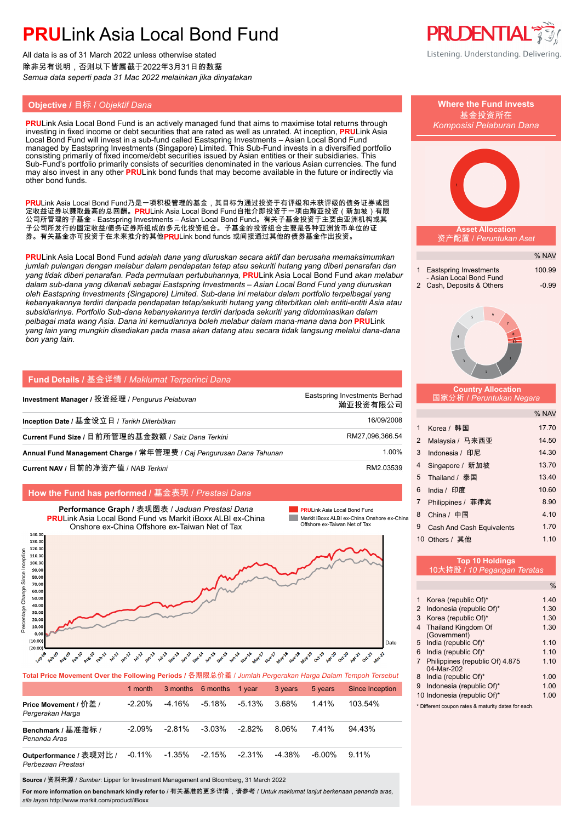# **PRU**Link Asia Local Bond Fund

All data is as of 31 March 2022 unless otherwise stated 除非另有说明,否则以下皆属截于2022年3月31日的数据 *Semua data seperti pada 31 Mac 2022 melainkan jika dinyatakan*

## **Objective /** 目标 / *Objektif Dana* **Where the Fund invests**

**PRU**Link Asia Local Bond Fund is an actively managed fund that aims to maximise total returns through investing in fixed income or debt securities that are rated as well as unrated. At inception, **PRU**Link Asia Local Bond Fund will invest in a sub-fund called Eastspring Investments – Asian Local Bond Fund managed by Eastspring Investments (Singapore) Limited. This Sub-Fund invests in a diversified portfolio consisting primarily of fixed income/debt securities issued by Asian entities or their subsidiaries. This Sub-Fund's portfolio primarily consists of securities denominated in the various Asian currencies. The fund may also invest in any other **PRU**Link bond funds that may become available in the future or indirectly via other bond funds.

PRULink Asia Local Bond Fund乃是一项积极管理的基金,其目标为通过投资于有评级和未获评级的债务证券或固 定收益证券以赚取最高的总回酬。PRULink Asia Local Bond Fund自推介即投资于一项由瀚亚投资(新加坡)有限 公司所管理的子基金 - Eastspring Investments – Asian Local Bond Fund。有关子基金投资于主要由亚洲机构或其 子公司所发行的固定收益/债务证券所组成的多元化投资组合。子基金的投资组合主要是各种亚洲货币单位的证 券。有关基金亦可投资于在未来推介的其他PRULink bond funds 或间接通过其他的债券基金作出投资。

**PRU**Link Asia Local Bond Fund *adalah dana yang diuruskan secara aktif dan berusaha memaksimumkan jumlah pulangan dengan melabur dalam pendapatan tetap atau sekuriti hutang yang diberi penarafan dan yang tidak diberi penarafan. Pada permulaan pertubuhannya,* **PRU**Link Asia Local Bond Fund *akan melabur dalam sub-dana yang dikenali sebagai Eastspring Investments – Asian Local Bond Fund yang diuruskan oleh Eastspring Investments (Singapore) Limited. Sub-dana ini melabur dalam portfolio terpelbagai yang kebanyakannya terdiri daripada pendapatan tetap/sekuriti hutang yang diterbitkan oleh entiti-entiti Asia atau subsidiarinya. Portfolio Sub-dana kebanyakannya terdiri daripada sekuriti yang didominasikan dalam pelbagai mata wang Asia. Dana ini kemudiannya boleh melabur dalam mana-mana dana bon* **PRU**Link *yang lain yang mungkin disediakan pada masa akan datang atau secara tidak langsung melalui dana-dana bon yang lain.*

| Fund Details / 基金详情 / Maklumat Terperinci Dana                      |                                           |
|---------------------------------------------------------------------|-------------------------------------------|
| Investment Manager / 投资经理 / Pengurus Pelaburan                      | Eastspring Investments Berhad<br>瀚亚投资有限公司 |
| Inception Date / 基金设立日 / Tarikh Diterbitkan                         | 16/09/2008                                |
| Current Fund Size / 目前所管理的基金数额 / Saiz Dana Terkini                  | RM27,096,366.54                           |
| Annual Fund Management Charge / 常年管理费 / Caj Pengurusan Dana Tahunan | 1.00%                                     |
| Current NAV / 目前的净资产值 / NAB Terkini                                 | RM2.03539                                 |

### **How the Fund has performed /** 基金表现 / *Prestasi Dana*



**Total Price Movement Over the Following Periods /** 各期限总价差 / *Jumlah Pergerakan Harga Dalam Tempoh Tersebut*

|                                               | 1 month   | 3 months 6 months |           | 1 vear    | 3 years   | 5 years   | Since Inception |
|-----------------------------------------------|-----------|-------------------|-----------|-----------|-----------|-----------|-----------------|
| Price Movement / 价差 /<br>Pergerakan Harga     | $-2.20\%$ | -4.16%            | $-5.18%$  | -5.13%    | 3.68%     | 1.41%     | 103.54%         |
| Benchmark / 基准指标 /<br>Penanda Aras            | $-2.09\%$ | $-2.81\%$         | $-3.03\%$ | $-2.82\%$ | 8.06%     | 741%      | $94.43\%$       |
| Outperformance / 表现对比 /<br>Perbezaan Prestasi | $-0.11\%$ | $-1.35\%$         | $-2.15%$  | $-2.31\%$ | $-4.38\%$ | $-6.00\%$ | $9.11\%$        |

**Source /** 资料来源 / *Sumber*: Lipper for Investment Management and Bloomberg, 31 March 2022

**For more information on benchmark kindly refer to** / 有关基准的更多详情,请参考 / *Untuk maklumat lanjut berkenaan penanda aras, sila layari* http://www.markit.com/product/iBoxx



基金投资所在

|        | Komposisi Pelaburan Dana                                                                      |                   |
|--------|-----------------------------------------------------------------------------------------------|-------------------|
|        |                                                                                               |                   |
|        | <b>Asset Allocation</b><br>资产配置 / Peruntukan Aset                                             |                   |
|        |                                                                                               | % NAV             |
| r      | <b>Eastspring Investments</b><br>1<br>- Asian Local Bond Fund<br>2<br>Cash, Deposits & Others | 100.99<br>$-0.99$ |
| J      | 5<br>7<br>8<br>4<br>$\overline{2}$                                                            |                   |
| þ<br>J | <b>Country Allocation</b><br>国家分析 / Peruntukan Negara                                         |                   |
|        |                                                                                               | % NAV             |
| В      | Korea / 韩国<br>1                                                                               | 17.70             |
| 4      | $\overline{2}$<br>Malaysia/ 马来西亚                                                              | 14.50             |
| 6      | 3<br>Indonesia / 印尼                                                                           | 14.30             |
| 9      | 4<br>Singapore / 新加坡                                                                          | 13.70             |
|        | Thailand / 泰国<br>5                                                                            | 13.40             |
|        | 6<br>India / 印度                                                                               | 10.60             |
|        | 7<br>Philippines / 菲律宾                                                                        | 8.90              |
| hina   | China / 中国<br>8                                                                               | 4.10              |
|        | 9<br>Cash And Cash Equivalents                                                                | 1.70              |
|        | 10 Others / 其他                                                                                | 1.10              |
|        | Top 10 Holdings<br>10大持股 / 10 Pegangan Teratas                                                |                   |
|        |                                                                                               | $\%$              |
|        | Korea (republic Of)*<br>1                                                                     | 1.40              |
|        | Indonesia (republic Of)*<br>2                                                                 | 1.30              |
|        | Korea (republic Of)*<br>3<br>Thailand Kingdom Of<br>4                                         | 1.30<br>1.30      |
|        | (Government)                                                                                  |                   |
|        | India (republic Of)*<br>5<br>India (republic Of)*<br>6                                        | 1.10<br>1.10      |
|        | Philippines (republic Of) 4.875<br>$\overline{7}$<br>04-Mar-202                               | 1.10              |

- 8 India (republic Of)\* 1.00
- 9 Indonesia (republic Of)\* 1.00 10 Indonesia (republic Of)\* 1.00
- \* Different coupon rates & maturity dates for each.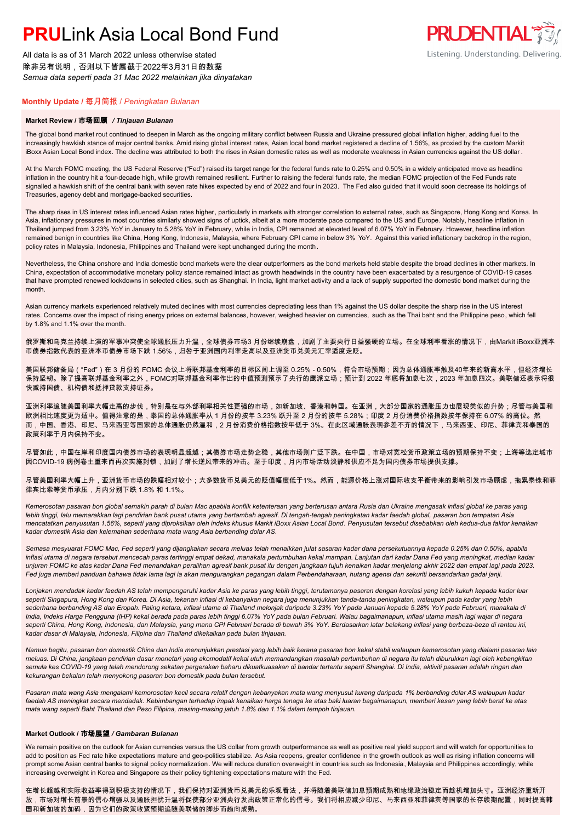# **PRU**Link Asia Local Bond Fund

All data is as of 31 March 2022 unless otherwise stated 除非另有说明,否则以下皆属截于2022年3月31日的数据 *Semua data seperti pada 31 Mac 2022 melainkan jika dinyatakan*

#### **Monthly Update /** 每月简报 / *Peningkatan Bulanan*

#### **Market Review /** 市场回顾 */ Tinjauan Bulanan*

The global bond market rout continued to deepen in March as the ongoing military conflict between Russia and Ukraine pressured global inflation higher, adding fuel to the increasingly hawkish stance of major central banks. Amid rising global interest rates, Asian local bond market registered a decline of 1.56%, as proxied by the custom Markit iBoxx Asian Local Bond index. The decline was attributed to both the rises in Asian domestic rates as well as moderate weakness in Asian currencies against the US dollar .

**PRUDENTIAL** 

Listening. Understanding. Delivering.

At the March FOMC meeting, the US Federal Reserve ("Fed") raised its target range for the federal funds rate to 0.25% and 0.50% in a widely anticipated move as headline inflation in the country hit a four-decade high, while growth remained resilient. Further to raising the federal funds rate, the median FOMC projection of the Fed Funds rate signalled a hawkish shift of the central bank with seven rate hikes expected by end of 2022 and four in 2023. The Fed also guided that it would soon decrease its holdings of Treasuries, agency debt and mortgage-backed securities.

The sharp rises in US interest rates influenced Asian rates higher, particularly in markets with stronger correlation to external rates, such as Singapore, Hong Kong and Korea. In Asia, inflationary pressures in most countries similarly showed signs of uptick, albeit at a more moderate pace compared to the US and Europe. Notably, headline inflation in Thailand jumped from 3.23% YoY in January to 5.28% YoY in February, while in India, CPI remained at elevated level of 6.07% YoY in February. However, headline inflation remained benign in countries like China, Hong Kong, Indonesia, Malaysia, where February CPI came in below 3% YoY. Against this varied inflationary backdrop in the region, policy rates in Malaysia, Indonesia, Philippines and Thailand were kept unchanged during the month.

Nevertheless, the China onshore and India domestic bond markets were the clear outperformers as the bond markets held stable despite the broad declines in other markets. In China, expectation of accommodative monetary policy stance remained intact as growth headwinds in the country have been exacerbated by a resurgence of COVID-19 cases that have prompted renewed lockdowns in selected cities, such as Shanghai. In India, light market activity and a lack of supply supported the domestic bond market during the month.

Asian currency markets experienced relatively muted declines with most currencies depreciating less than 1% against the US dollar despite the sharp rise in the US interest rates. Concerns over the impact of rising energy prices on external balances, however, weighed heavier on currencies, such as the Thai baht and the Philippine peso, which fell by 1.8% and 1.1% over the month.

俄罗斯和乌克兰持续上演的军事冲突使全球通胀压力升温,全球债券市场3 月份继续崩盘,加剧了主要央行日益强硬的立场。在全球利率看涨的情况下,由Markit iBoxx亚洲本 币债券指数代表的亚洲本币债券市场下跌 1.56%,归咎于亚洲国内利率走高以及亚洲货币兑美元汇率适度走贬。

美国联邦储备局("Fed")在 3 月份的 FOMC 会议上将联邦基金利率的目标区间上调至 0.25% - 0.50%,符合市场预期;因为总体通胀率触及40年来的新高水平,但经济增长 保持坚韧。除了提高联邦基金利率之外,FOMC对联邦基金利率作出的中值预测预示了央行的鹰派立场;预计到 2022 年底将加息七次,2023 年加息四次。美联储还表示将很 快减持国债、机构债和抵押贷款支持证券。

亚洲利率追随美国利率大幅走高的步伐,特别是在与外部利率相关性更强的市场,如新加坡、香港和韩国。在亚洲,大部分国家的通胀压力也展现类似的升势;尽管与美国和 欧洲相比速度更为适中。值得注意的是,泰国的总体通胀率从 1 月份的按年 3.23% 跃升至 2 月份的按年 5.28%;印度 2 月份消费价格指数按年保持在 6.07% 的高位。然 而,中国、香港、印尼、马来西亚等国家的总体通胀仍然温和,2 月份消费价格指数按年低于 3%。在此区域通胀表现参差不齐的情况下,马来西亚、印尼、菲律宾和泰国的 政策利率于月内保持不变。

尽管如此,中国在岸和印度国内债券市场的表现明显超越;其债券市场走势企稳,其他市场则广泛下跌。在中国,市场对宽松货币政策立场的预期保持不变;上海等选定城市 因COVID-19 病例卷土重来而再次实施封锁,加剧了增长逆风带来的冲击。至于印度,月内市场活动淡静和供应不足为国内债券市场提供支撑。

尽管美国利率大幅上升,亚洲货币市场的跌幅相对较小;大多数货币兑美元的贬值幅度低于1%。然而,能源价格上涨对国际收支平衡带来的影响引发市场顾虑,拖累泰铢和菲 律宾比索等货币承压,月内分别下跌 1.8% 和 1.1%。

*Kemerosotan pasaran bon global semakin parah di bulan Mac apabila konflik ketenteraan yang berterusan antara Rusia dan Ukraine mengasak inflasi global ke paras yang lebih tinggi, lalu memarakkan lagi pendirian bank pusat utama yang bertambah agresif. Di tengah-tengah peningkatan kadar faedah global, pasaran bon tempatan Asia mencatatkan penyusutan 1.56%, seperti yang diproksikan oleh indeks khusus Markit iBoxx Asian Local Bond. Penyusutan tersebut disebabkan oleh kedua-dua faktor kenaikan kadar domestik Asia dan kelemahan sederhana mata wang Asia berbanding dolar AS.*

*Semasa mesyuarat FOMC Mac, Fed seperti yang dijangkakan secara meluas telah menaikkan julat sasaran kadar dana persekutuannya kepada 0.25% dan 0.50%, apabila inflasi utama di negara tersebut mencecah paras tertinggi empat dekad, manakala pertumbuhan kekal mampan. Lanjutan dari kadar Dana Fed yang meningkat, median kadar unjuran FOMC ke atas kadar Dana Fed menandakan peralihan agresif bank pusat itu dengan jangkaan tujuh kenaikan kadar menjelang akhir 2022 dan empat lagi pada 2023. Fed juga memberi panduan bahawa tidak lama lagi ia akan mengurangkan pegangan dalam Perbendaharaan, hutang agensi dan sekuriti bersandarkan gadai janji.*

*Lonjakan mendadak kadar faedah AS telah mempengaruhi kadar Asia ke paras yang lebih tinggi, terutamanya pasaran dengan korelasi yang lebih kukuh kepada kadar luar seperti Singapura, Hong Kong dan Korea. Di Asia, tekanan inflasi di kebanyakan negara juga menunjukkan tanda-tanda peningkatan, walaupun pada kadar yang lebih sederhana berbanding AS dan Eropah. Paling ketara, inflasi utama di Thailand melonjak daripada 3.23% YoY pada Januari kepada 5.28% YoY pada Februari, manakala di India, Indeks Harga Pengguna (IHP) kekal berada pada paras lebih tinggi 6.07% YoY pada bulan Februari. Walau bagaimanapun, inflasi utama masih lagi wajar di negara*  seperti China, Hong Kong, Indonesia, dan Malaysia, yang mana CPI Februari berada di bawah 3% YoY. Berdasarkan latar belakang inflasi yang berbeza-beza di rantau ini, *kadar dasar di Malaysia, Indonesia, Filipina dan Thailand dikekalkan pada bulan tinjauan.*

*Namun begitu, pasaran bon domestik China dan India menunjukkan prestasi yang lebih baik kerana pasaran bon kekal stabil walaupun kemerosotan yang dialami pasaran lain meluas. Di China, jangkaan pendirian dasar monetari yang akomodatif kekal utuh memandangkan masalah pertumbuhan di negara itu telah diburukkan lagi oleh kebangkitan semula kes COVID-19 yang telah mendorong sekatan pergerakan baharu dikuatkuasakan di bandar tertentu seperti Shanghai. Di India, aktiviti pasaran adalah ringan dan kekurangan bekalan telah menyokong pasaran bon domestik pada bulan tersebut.*

*Pasaran mata wang Asia mengalami kemorosotan kecil secara relatif dengan kebanyakan mata wang menyusut kurang daripada 1% berbanding dolar AS walaupun kadar faedah AS meningkat secara mendadak. Kebimbangan terhadap impak kenaikan harga tenaga ke atas baki luaran bagaimanapun, memberi kesan yang lebih berat ke atas mata wang seperti Baht Thailand dan Peso Filipina, masing-masing jatuh 1.8% dan 1.1% dalam tempoh tinjauan.*

### **Market Outlook /** 市场展望 */ Gambaran Bulanan*

We remain positive on the outlook for Asian currencies versus the US dollar from growth outperformance as well as positive real yield support and will watch for opportunities to add to position as Fed rate hike expectations mature and geo-politics stabilize. As Asia reopens, greater confidence in the growth outlook as well as rising inflation concerns will prompt some Asian central banks to signal policy normalization. We will reduce duration overweight in countries such as Indonesia, Malaysia and Philippines accordingly, while increasing overweight in Korea and Singapore as their policy tightening expectations mature with the Fed.

在增长超越和实际收益率得到积极支持的情况下,我们保持对亚洲货币兑美元的乐观看法,并将随着美联储加息预期成熟和地缘政治稳定而趁机增加头寸。亚洲经济重新开 放,市场对增长前景的信心增强以及通胀担忧升温将促使部分亚洲央行发出政策正常化的信号。我们将相应减少印尼、马来西亚和菲律宾等国家的长存续期配置,同时提高韩 国和新加坡的加码,因为它们的政策收紧预期追随美联储的脚步而趋向成熟。